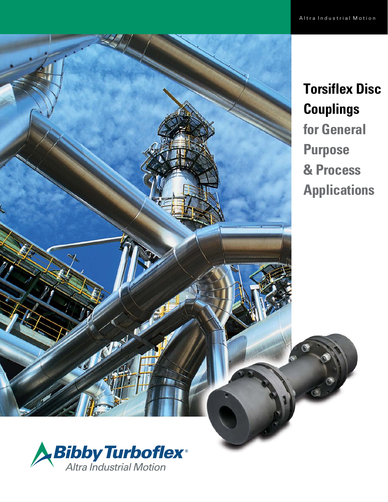



**Torsiflex Disc Couplings for General Purpose & Process Applications**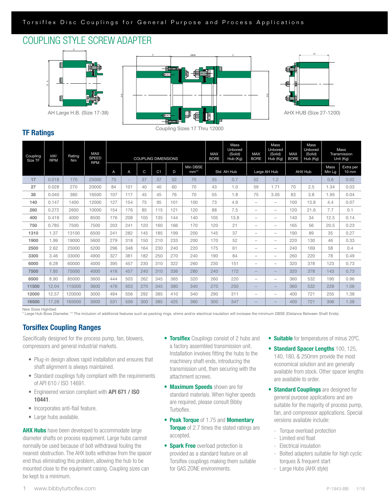# COUPLING STYLE SCREW ADAPTER



AH Large H.B. (Size 17-38)





AHX HUB (SIZE 27-1200) AHX HUB (Size 27-1200)

## TF Ratings

| Coupling<br>Size TF | kW/<br><b>RPM</b> | Rating<br><b>Nm</b> | <b>MAX</b><br><b>SPEED</b> | <b>COUPLING DIMENSIONS</b> |                          |     |                |     | <b>MAX</b><br><b>BORE</b> | Mass<br>Unbored<br>(Solid)<br>Hub (Kg) | <b>MAX</b><br><b>BORE</b> | Mass<br>Unbored<br>(Solid)<br>Hub (Kg) | <b>MAX</b><br><b>BORE</b> | Mass<br>Unbored<br>(Solid)<br>Hub (Kg) |                          | Mass<br>Transmission<br>Unit (Kg) |                              |
|---------------------|-------------------|---------------------|----------------------------|----------------------------|--------------------------|-----|----------------|-----|---------------------------|----------------------------------------|---------------------------|----------------------------------------|---------------------------|----------------------------------------|--------------------------|-----------------------------------|------------------------------|
|                     |                   |                     | <b>RPM</b>                 | A                          | A                        | C   | C <sub>1</sub> | D   | Min DBSE<br>$mm**$        |                                        | Std AH Hub                |                                        | Large AH Hub              |                                        | <b>AHX Hub</b>           | Mass<br>Min Lg                    | Extra per<br>$10 \text{ mm}$ |
| 17                  | 0.018             | 170                 | 25000                      | 73                         | $\overline{\phantom{0}}$ | 37  | 37             | 52  | 70                        | 35                                     | 0.7                       | 52                                     | 1.2                       | $\overline{\phantom{a}}$               | $\overline{\phantom{a}}$ | 0.6                               | 0.02                         |
| 27                  | 0.028             | 270                 | 20000                      | 84                         | 101                      | 40  | 40             | 60  | 70                        | 43                                     | 1.0                       | 59                                     | 1.71                      | 70                                     | 2.5                      | 1.34                              | 0.03                         |
| 38                  | 0.040             | 380                 | 16500                      | 107                        | 117                      | 45  | 45             | 76  | 70                        | 55                                     | 1.8                       | 75                                     | 3.05                      | 83                                     | 3.8                      | 1.95                              | 0.04                         |
| 140                 | 0.147             | 1400                | 12000                      | 127                        | 154                      | 75  | 95             | 101 | 100                       | 73                                     | 4.9                       | $\qquad \qquad$                        | $\overline{\phantom{a}}$  | 100                                    | 13.8                     | 4.4                               | 0.07                         |
| 260                 | 0.272             | 2600                | 10000                      | 154                        | 176                      | 85  | 115            | 121 | 120                       | 88                                     | 7.5                       | $\overline{\phantom{0}}$               | $\qquad \qquad$           | 120                                    | 21.6                     | 7.7                               | 0.1                          |
| 400                 | 0.419             | 4000                | 8500                       | 176                        | 208                      | 105 | 135            | 144 | 140                       | 105                                    | 13.8                      | $\overline{\phantom{0}}$               | $\qquad \qquad -$         | 140                                    | 34                       | 12.5                              | 0.14                         |
| 750                 | 0.785             | 7500                | 7500                       | 203                        | 241                      | 120 | 160            | 166 | 170                       | 120                                    | 21                        | $\overline{\phantom{a}}$               | $\qquad \qquad -$         | 165                                    | 56                       | 20.5                              | 0.23                         |
| 1310                | 1.37              | 13100               | 6500                       | 241                        | 282                      | 145 | 185            | 199 | 200                       | 145                                    | 37                        | $\qquad \qquad -$                      | $\qquad \qquad -$         | 190                                    | 89                       | 35                                | 0.27                         |
| 1900                | 1.99              | 19000               | 5600                       | 279                        | 318                      | 150 | 210            | 233 | 200                       | 170                                    | 52                        | -                                      | $\qquad \qquad$           | 220                                    | 130                      | 46                                | 0.33                         |
| 2500                | 2.62              | 25000               | 5200                       | 296                        | 348                      | 164 | 230            | 240 | 220                       | 175                                    | 61                        | $\overline{\phantom{0}}$               | $\overline{\phantom{0}}$  | 240                                    | 169                      | 58                                | 0.4                          |
| 3300                | 3.46              | 33000               | 4900                       | 327                        | 381                      | 182 | 250            | 270 | 240                       | 190                                    | 84                        | $\overline{\phantom{0}}$               | $\overline{\phantom{a}}$  | 260                                    | 220                      | 78                                | 0.49                         |
| 6000                | 6.28              | 60000               | 4000                       | 395                        | 457                      | 230 | 310            | 322 | 260                       | 230                                    | 151                       | -                                      | $\overline{\phantom{a}}$  | 320                                    | 378                      | 123                               | 0.73                         |
| 7500                | 7.85              | 75000               | 4000                       | 416                        | 457                      | 240 | 310            | 336 | 280                       | 240                                    | 172                       | $\overline{\phantom{0}}$               | $\overline{\phantom{a}}$  | 320                                    | 378                      | 143                               | 0.73                         |
| 8500                | 8.90              | 85000               | 3600                       | 444                        | 503                      | 262 | 345            | 365 | 320                       | 260                                    | 220                       | $\overline{\phantom{0}}$               | $\overline{\phantom{0}}$  | 360                                    | 532                      | 190                               | 0.96                         |
| 11500               | 12.04             | 115000              | 3600                       | 476                        | 503                      | 270 | 345            | 380 | 340                       | 270                                    | 250                       | $\overline{\phantom{0}}$               | $\overline{\phantom{a}}$  | 360                                    | 532                      | 228                               | 1.06                         |
| 12000               | 12.57             | 120000              | 3000                       | 494                        | 556                      | 292 | 385            | 410 | 340                       | 290                                    | 311                       | $\overline{\phantom{0}}$               | $\overline{\phantom{m}}$  | 400                                    | 721                      | 255                               | 1.38                         |
| 16500               | 17.28             | 165000              | 3000                       | 531                        | 556                      | 300 | 385            | 425 | 360                       | 300                                    | 347                       | $\overline{\phantom{0}}$               | $\overline{\phantom{a}}$  | 400                                    | 721                      | 306                               | 1.38                         |

New Sizes Highlited

\* Large Hub Boss Diameter. \*\* The inclusion of additional features such as packing rings, shims and/or electrical insulation will increase the minimum DBSE (Distance Between Shaft Ends).

## Torsiflex Coupling Ranges

Specifically designed for the process pump, fan, blowers, compressors and general industrial markets.

- Plug-in design allows rapid installation and ensures that shaft alignment is always maintained.
- Standard couplings fully compliant with the requirements of API 610 / ISO 14691.
- Engineered version compliant with **API 671 / ISO** 10441.
- Incorporates anti-flail feature.
- Large hubs available.

**AHX Hubs** have been developed to accommodate large diameter shafts on process equipment. Large hubs cannot normally be used because of bolt withdrawal fouling the nearest obstruction. The AHX bolts withdraw from the spacer end thus eliminating this problem, allowing the hub to be mounted close to the equipment casing. Coupling sizes can be kept to a minimum.

- Torsiflex Couplings consist of 2 hubs and a factory assembled transmission unit. Installation involves fitting the hubs to the machinery shaft ends, introducing the transmission unit, then securing with the attachment screws.
- **Maximum Speeds** shown are for standard materials. When higher speeds are required, please consult Bibby Turboflex.
- Peak Torque of 1.75 and Momentary **Torque** of 2.7 times the stated ratings are accepted.
- Spark Free overload protection is provided as a standard feature on all Torsiflex couplings making them suitable for GAS ZONE environments.
- **Suitable** for temperatures of minus 20°C.
- Standard Spacer Lengths 100, 125, 140, 180, & 250mm provide the most economical solution and are generally available from stock. Other spacer lengths are available to order.
- **Standard Couplings** are designed for general purpose applications and are suitable for the majority of process pump, fan, and compressor applications. Special versions available include:
	- Torque overload protection
	- Limited end float
	- Electrical insulation
	- Bolted adapters suitable for high cyclic torques & frequent start
	- Large Hubs (AHX style)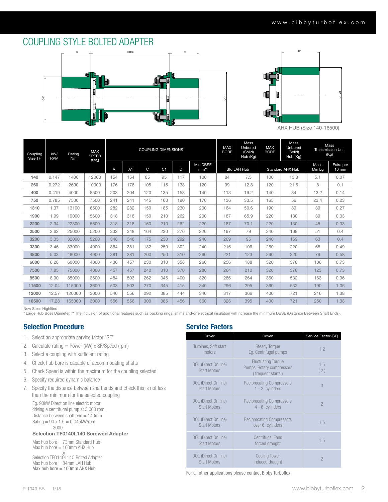# COUPLING STYLE BOLTED ADAPTER





AHX HUB (Size 140-16500)

| Coupling<br>Size TF | kW/<br><b>RPM</b> | Rating<br>Nm | <b>MAX</b><br><b>SPEED</b><br><b>RPM</b> | <b>COUPLING DIMENSIONS</b> |     |     |                | <b>MAX</b><br><b>BORE</b> | Mass<br>Unbored<br>(Solid)<br>Hub (Kg) | <b>MAX</b><br><b>BORE</b> | Mass<br>Unbored<br>(Solid)<br>Hub (Kg) |     | Mass<br><b>Transmission Unit</b><br>(Kg) |                |                              |
|---------------------|-------------------|--------------|------------------------------------------|----------------------------|-----|-----|----------------|---------------------------|----------------------------------------|---------------------------|----------------------------------------|-----|------------------------------------------|----------------|------------------------------|
|                     |                   |              |                                          | A                          | A1  | C   | C <sub>1</sub> | D                         | Min DBSE<br>$mm**$                     |                           | Std LAH Hub                            |     | <b>Standard AHX Hub</b>                  | Mass<br>Min Lg | Extra per<br>$10 \text{ mm}$ |
| 140                 | 0.147             | 1400         | 12000                                    | 154                        | 154 | 85  | 95             | 117                       | 100                                    | 84                        | 7.5                                    | 100 | 13.8                                     | 5.1            | 0.07                         |
| 260                 | 0.272             | 2600         | 10000                                    | 176                        | 176 | 105 | 115            | 138                       | 120                                    | 99                        | 12.8                                   | 120 | 21.6                                     | 8              | 0.1                          |
| 400                 | 0.419             | 4000         | 8500                                     | 203                        | 204 | 120 | 135            | 158                       | 140                                    | 113                       | 19.2                                   | 140 | 34                                       | 13.2           | 0.14                         |
| 750                 | 0.785             | 7500         | 7500                                     | 241                        | 241 | 145 | 160            | 190                       | 170                                    | 136                       | 33.5                                   | 165 | 56                                       | 23.4           | 0.23                         |
| 1310                | 1.37              | 13100        | 6500                                     | 282                        | 282 | 150 | 185            | 230                       | 200                                    | 164                       | 50.6                                   | 190 | 89                                       | 39             | 0.27                         |
| 1900                | 1.99              | 19000        | 5600                                     | 318                        | 318 | 150 | 210            | 262                       | 200                                    | 187                       | 65.9                                   | 220 | 130                                      | 39             | 0.33                         |
| 2230                | 2.34              | 22300        | 5600                                     | 318                        | 318 | 160 | 210            | 262                       | 220                                    | 187                       | 70.1                                   | 220 | 130                                      | 45             | 0.33                         |
| 2500                | 2.62              | 25000        | 5200                                     | 332                        | 348 | 164 | 230            | 276                       | 220                                    | 197                       | 79                                     | 240 | 169                                      | 51             | 0.4                          |
| 3200                | 3.35              | 32000        | 5200                                     | 348                        | 348 | 175 | 230            | 292                       | 240                                    | 209                       | 95                                     | 240 | 169                                      | 63             | 0.4                          |
| 3300                | 3.46              | 33000        | 4900                                     | 364                        | 381 | 182 | 250            | 302                       | 240                                    | 216                       | 106                                    | 260 | 220                                      | 68             | 0.49                         |
| 4800                | 5.03              | 48000        | 4900                                     | 381                        | 381 | 200 | 250            | 310                       | 260                                    | 221                       | 123                                    | 260 | 220                                      | 79             | 0.58                         |
| 6000                | 6.28              | 60000        | 4000                                     | 436                        | 457 | 230 | 310            | 358                       | 260                                    | 256                       | 188                                    | 320 | 378                                      | 106            | 0.73                         |
| 7500                | 7.85              | 75000        | 4000                                     | 457                        | 457 | 240 | 310            | 370                       | 280                                    | 264                       | 210                                    | 320 | 378                                      | 123            | 0.73                         |
| 8500                | 8.90              | 85000        | 3600                                     | 484                        | 503 | 262 | 345            | 400                       | 320                                    | 286                       | 264                                    | 360 | 532                                      | 163            | 0.96                         |
| 11500               | 12.04             | 115000       | 3600                                     | 503                        | 503 | 270 | 345            | 415                       | 340                                    | 296                       | 295                                    | 360 | 532                                      | 190            | 1.06                         |
| 12000               | 12.57             | 120000       | 3000                                     | 540                        | 556 | 292 | 385            | 444                       | 340                                    | 317                       | 366                                    | 400 | 721                                      | 216            | 1.38                         |
| 16500               | 17.28             | 165000       | 3000                                     | 556                        | 556 | 300 | 385            | 456                       | 360                                    | 326                       | 395                                    | 400 | 721                                      | 250            | 1.38                         |

New Sizes Highlited

New Sizes Highlited<br>\* Large Hub Boss Diameter. \*\* The inclusion of additional features such as packing rings, shims and/or electrical insulation will increase the minimum DBSE (Distance Between Shaft Ends).

### Selection Procedure

- 1. Select an appropriate service factor "SF"
- 2. Calculate rating  $=$  Power (kW) x SF/Speed (rpm)
- 3. Select a coupling with sufficient rating
- 4. Check hub bore is capable of accommodating shafts
- 5. Check Speed is within the maximum for the coupling selected
- 6. Specify required dynamic balance
- 7. Specify the distance between shaft ends and check this is not less than the minimum for the selected coupling

Eg. 90kW Direct on line electric motor driving a centrifugal pump at 3,000 rpm. Distance between shaft end = 140mm  $Rating = 90 \times 1.5 = 0.045kW$ /rpm 3000

#### Selection TF0140L140 Screwed Adapter

Max hub bore = 73mm Standard Hub Max hub bore = 100mm AHX Hub

or<br>Selection TFO14OL14O Bolted Adapter Max hub bore = 84mm LAH Hub Max hub bore  $= 100$ mm AHX Hub

### Service Factors

| <b>Driver</b>                               | Driven                                                                      | Service Factor (SF) |
|---------------------------------------------|-----------------------------------------------------------------------------|---------------------|
| Turbines, Soft start<br>motors              | <b>Steady Torque</b><br>Eq. Centrifugal pumps                               | 1.2                 |
| DOL (Direct On line)<br><b>Start Motors</b> | <b>Fluctuating Torque</b><br>Pumps, Rotary compressors<br>(frequent starts) | 1.5<br>(2)          |
| DOL (Direct On line)<br><b>Start Motors</b> | <b>Reciprocating Compressors</b><br>$1 - 3$ cylinders                       | 3                   |
| DOL (Direct On line)<br><b>Start Motors</b> | <b>Reciprocating Compressors</b><br>4 - 6 cylinders                         | $\mathfrak{D}$      |
| DOL (Direct On line)<br><b>Start Motors</b> | <b>Reciprocating Compressors</b><br>over 6 cylinders                        | 1.5                 |
| DOL (Direct On line)<br><b>Start Motors</b> | <b>Centrifugal Fans</b><br>forced draught                                   | 1.5                 |
| DOL (Direct On line)<br><b>Start Motors</b> | <b>Cooling Tower</b><br>induced draught                                     | $\mathcal{P}$       |

For all other applications please contact Bibby Turboflex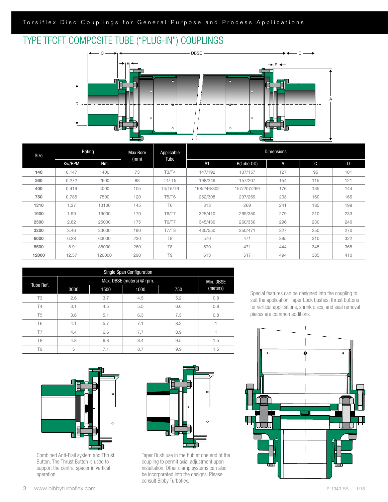# TYPE TFCFT COMPOSITE TUBE ("PLUG-IN") COUPLINGS



| Size  |               | Rating | <b>Max Bore</b><br>(mm) | Applicable<br>Tube | <b>Dimensions</b> |             |     |     |     |  |  |
|-------|---------------|--------|-------------------------|--------------------|-------------------|-------------|-----|-----|-----|--|--|
|       | <b>Kw/RPM</b> | Nm     |                         |                    | A1                | B(Tube OD)  | A   | C   | D   |  |  |
| 140   | 0.147         | 1400   | 73                      | T3/T4              | 147/192           | 107/157     | 127 | 95  | 101 |  |  |
| 260   | 0.272         | 2600   | 88                      | T4/T5              | 198/246           | 157/207     | 154 | 115 | 121 |  |  |
| 400   | 0.419         | 4000   | 105                     | <b>T4/T5/T6</b>    | 198/246/302       | 157/207/269 | 176 | 135 | 144 |  |  |
| 750   | 0.785         | 7500   | 120                     | <b>T5/T6</b>       | 252/308           | 207/269     | 203 | 160 | 166 |  |  |
| 1310  | 1.37          | 13100  | 145                     | T <sub>6</sub>     | 313               | 269         | 241 | 185 | 199 |  |  |
| 1900  | 1.99          | 19000  | 170                     | <b>T6/T7</b>       | 325/410           | 269/350     | 279 | 210 | 233 |  |  |
| 2500  | 2.62          | 25000  | 175                     | <b>T6/T7</b>       | 345/430           | 260/350     | 296 | 230 | 240 |  |  |
| 3300  | 3.46          | 33000  | 190                     | <b>T7/T8</b>       | 430/550           | 350/471     | 327 | 250 | 270 |  |  |
| 6000  | 6.28          | 60000  | 230                     | T <sub>8</sub>     | 570               | 471         | 395 | 310 | 322 |  |  |
| 8500  | 8.9           | 85000  | 260                     | T <sub>8</sub>     | 570               | 471         | 444 | 345 | 365 |  |  |
| 12000 | 12.57         | 120000 | 290                     | T <sub>9</sub>     | 613               | 517         | 494 | 385 | 410 |  |  |

| Single Span Configuration |      |           |      |     |          |  |  |  |  |  |
|---------------------------|------|-----------|------|-----|----------|--|--|--|--|--|
| Tube Ref.                 |      | Min. DBSE |      |     |          |  |  |  |  |  |
|                           | 3000 | 1500      | 1000 | 750 | (meters) |  |  |  |  |  |
| T <sub>3</sub>            | 2.6  | 3.7       | 4.5  | 5.2 | 0.8      |  |  |  |  |  |
| <b>T4</b>                 | 3.1  | 4.5       | 5.5  | 6.6 | 0.8      |  |  |  |  |  |
| T <sub>5</sub>            | 3.6  | 5.1       | 6.3  | 7.3 | 0.8      |  |  |  |  |  |
| <b>T6</b>                 | 4.1  | 5.7       | 7.1  | 8.2 |          |  |  |  |  |  |
| T7                        | 4.4  | 6.6       | 7.7  | 8.9 |          |  |  |  |  |  |
| T <sub>8</sub>            | 4.8  | 6.8       | 8.4  | 9.5 | 1.5      |  |  |  |  |  |
| T9                        | 5    | 7.1       | 8.7  | 9.9 | 1.5      |  |  |  |  |  |



Combined Anti-Flail system and Thrust Button. The Thrust Button is used to support the central spacer in vertical operation.



Taper Bush use in the hub at one end of the coupling to permit axial adjustment upon installation. Other clamp systems can also be incorporated into the designs. Please consult Bibby Turboflex.

Special features can be designed into the coupling to suit the application. Taper Lock bushes, thrust buttons for vertical applications, shrink discs, and seal removal pieces are common additions.

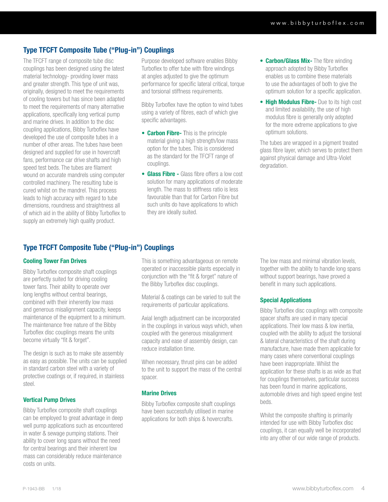### Type TFCFT Composite Tube ("Plug-in") Couplings

The TFCFT range of composite tube disc couplings has been designed using the latest material technology- providing lower mass and greater strength. This type of unit was, originally, designed to meet the requirements of cooling towers but has since been adapted to meet the requirements of many alternative applications, specifically long vertical pump and marine drives. In addition to the disc coupling applications, Bibby Turboflex have developed the use of composite tubes in a number of other areas. The tubes have been designed and supplied for use in hovercraft fans, performance car drive shafts and high speed test beds. The tubes are filament wound on accurate mandrels using computer controlled machinery. The resulting tube is cured whilst on the mandrel. This process leads to high accuracy with regard to tube dimensions, roundness and straightness all of which aid in the ability of Bibby Turboflex to supply an extremely high quality product.

Purpose developed software enables Bibby Turboflex to offer tube with fibre windings at angles adjusted to give the optimum performance for specific lateral critical, torque and torsional stiffness requirements.

Bibby Turboflex have the option to wind tubes using a variety of fibres, each of which give specific advantages.

- Carbon Fibre- This is the principle material giving a high strength/low mass option for the tubes. This is considered as the standard for the TFCFT range of couplings.
- Glass Fibre Glass fibre offers a low cost solution for many applications of moderate length. The mass to stiffness ratio is less favourable than that for Carbon Fibre but such units do have applications to which they are ideally suited.
- Carbon/Glass Mix- The fibre winding approach adopted by Bibby Turboflex enables us to combine these materials to use the advantages of both to give the optimum solution for a specific application.
- High Modulus Fibre- Due to its high cost and limited availability, the use of high modulus fibre is generally only adopted for the more extreme applications to give optimum solutions.

The tubes are wrapped in a pigment treated glass fibre layer, which serves to protect them against physical damage and Ultra-Violet degradation.

## Type TFCFT Composite Tube ("Plug-in") Couplings

### Cooling Tower Fan Drives

Bibby Turboflex composite shaft couplings are perfectly suited for driving cooling tower fans. Their ability to operate over long lengths without central bearings, combined with their inherently low mass and generous misalignment capacity, keeps maintenance of the equipment to a minimum. The maintenance free nature of the Bibby Turboflex disc couplings means the units become virtually "fit & forget".

The design is such as to make site assembly as easy as possible. The units can be supplied in standard carbon steel with a variety of protective coatings or, if required, in stainless steel.

### Vertical Pump Drives

Bibby Turboflex composite shaft couplings can be employed to great advantage in deep well pump applications such as encountered in water & sewage pumping stations. Their ability to cover long spans without the need for central bearings and their inherent low mass can considerably reduce maintenance costs on units.

This is something advantageous on remote operated or inaccessible plants especially in conjunction with the "fit & forget" nature of the Bibby Turboflex disc couplings.

Material & coatings can be varied to suit the requirements of particular applications.

Axial length adjustment can be incorporated in the couplings in various ways which, when coupled with the generous misalignment capacity and ease of assembly design, can reduce installation time.

When necessary, thrust pins can be added to the unit to support the mass of the central spacer.

### Marine Drives

Bibby Turboflex composite shaft couplings have been successfully utilised in marine applications for both ships & hovercrafts.

The low mass and minimal vibration levels, together with the ability to handle long spans without support bearings, have proved a benefit in many such applications.

### Special Applications

Bibby Turboflex disc couplings with composite spacer shafts are used in many special applications. Their low mass & low inertia, coupled with the ability to adjust the torsional & lateral characteristics of the shaft during manufacture, have made them applicable for many cases where conventional couplings have been inappropriate. Whilst the application for these shafts is as wide as that for couplings themselves, particular success has been found in marine applications, automobile drives and high speed engine test beds.

Whilst the composite shafting is primarily intended for use with Bibby Turboflex disc couplings, it can equally well be incorporated into any other of our wide range of products.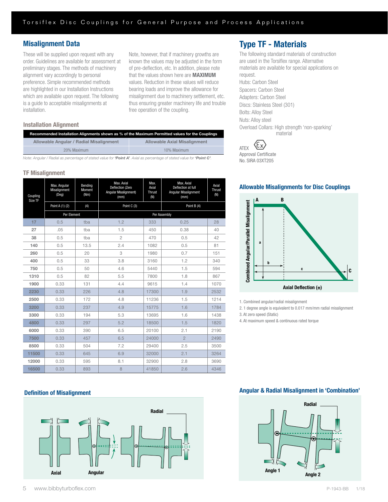### Misalignment Data

These will be supplied upon request with any order. Guidelines are available for assessment at preliminary stages. The methods of machinery alignment vary accordingly to personal preference. Simple recommended methods are highlighted in our Installation Instructions which are available upon request. The following is a guide to acceptable misalignments at installation.

Note, however, that if machinery growths are known the values may be adjusted in the form of pre-deflection, etc. In addition, please note that the values shown here are MAXIMUM values. Reduction in these values will reduce bearing loads and improve the allowance for misalignment due to machinery settlement, etc. thus ensuring greater machinery life and trouble free operation of the coupling.

### Installation Alignment

| Recommended Installation Alignments shown as % of the Maximum Permitted values for the Couplings |                              |  |  |  |  |  |  |
|--------------------------------------------------------------------------------------------------|------------------------------|--|--|--|--|--|--|
| Allowable Angular / Radial Misalignment                                                          | Allowable Axial Misalignment |  |  |  |  |  |  |
| 20% Maximum                                                                                      | 10% Maximum                  |  |  |  |  |  |  |
|                                                                                                  |                              |  |  |  |  |  |  |

*Note: Angular / Radial as percentage of stated value for 'Point A'. Axial as percentage of stated value for 'Point C'.*

### TF Misalignment

| Coupling<br>Size TF | Max. Angular<br>Misalignment<br>$($ Deg $)$ | Bending<br>Moment<br>(Nm) | Max. Axial<br>Deflection (Zero<br>Angular Misalignment)<br>(mm) | Max.<br>Axial<br><b>Thrust</b><br>(N) | Max. Axial<br>Deflection at full<br>Angular Misalignment<br>(mm) | Axial<br>Thrust<br>(N) |  |  |
|---------------------|---------------------------------------------|---------------------------|-----------------------------------------------------------------|---------------------------------------|------------------------------------------------------------------|------------------------|--|--|
|                     | Point A (1) (2)                             | (4)                       | Point C (3)                                                     |                                       | Point B (4)                                                      |                        |  |  |
|                     | Per Element                                 |                           |                                                                 |                                       | Per Assembly                                                     |                        |  |  |
| 17                  | 0.5                                         | tba                       | 1.2                                                             | 333                                   | 0.25                                                             | 28                     |  |  |
| 27                  | .05                                         | tba                       | 1.5                                                             | 450                                   | 0.38                                                             | 40                     |  |  |
| 38                  | 0.5                                         | tba                       | $\overline{2}$                                                  | 470                                   | 0.5                                                              | 42                     |  |  |
| 140                 | 0.5                                         | 13.5                      | 2.4                                                             | 1082                                  | 0.5                                                              | 81                     |  |  |
| 260                 | 0.5                                         | 20                        | 3                                                               | 1980                                  | 0.7                                                              | 151                    |  |  |
| 400                 | 0.5                                         | 33                        | 3.8                                                             | 3160                                  | 1.2                                                              | 340                    |  |  |
| 750                 | 0.5                                         | 50                        | 4.6                                                             | 5440                                  | 1.5                                                              | 594                    |  |  |
| 1310                | 0.5                                         | 82                        | 5.5                                                             | 7800                                  | 1.8                                                              | 867                    |  |  |
| 1900                | 0.33                                        | 131                       | 4.4                                                             | 9615                                  | 1.4                                                              | 1070                   |  |  |
| 2230                | 0.33                                        | 226                       | 4.8                                                             | 17300                                 | 1.9                                                              | 2532                   |  |  |
| 2500                | 0.33                                        | 172                       | 4.8                                                             | 11236                                 | 1.5                                                              | 1214                   |  |  |
| 3200                | 0.33                                        | 237                       | 4.9                                                             | 15775                                 | 1.6                                                              | 1784                   |  |  |
| 3300                | 0.33                                        | 194                       | 5.3                                                             | 13695                                 | 1.6                                                              | 1438                   |  |  |
| 4800                | 0.33                                        | 297                       | 5.2                                                             | 18500                                 | 1.5                                                              | 1820                   |  |  |
| 6000                | 0.33                                        | 390                       | 6.5                                                             | 20100                                 | 2.1                                                              | 2190                   |  |  |
| 7500                | 0.33                                        | 457                       | 6.5                                                             | 24000                                 | $\overline{2}$                                                   | 2490                   |  |  |
| 8500                | 0.33                                        | 504                       | 7.2                                                             | 29400                                 | 2.5                                                              | 3500                   |  |  |
| 11500               | 0.33                                        | 645                       | 6.9                                                             | 32000                                 | 2.1                                                              | 3264                   |  |  |
| 12000               | 0.33                                        | 595                       | 8.1                                                             | 32900                                 | 2.8                                                              | 3690                   |  |  |
| 16500               | 0.33                                        | 893                       | 8                                                               | 41850                                 | 2.6                                                              | 4346                   |  |  |

#### Definition of Misalignment



#### 5 www.bibbyturboflex.com P-1943-BB 1/18

# Type TF - Materials

The following standard materials of construction are used in the Torsiflex range. Alternative materials are available for special applications on request. Hubs: Carbon Steel Spacers: Carbon Steel Adapters: Carbon Steel Discs: Stainless Steel (301) Bolts: Alloy Steel Nuts: Alloy steel Overload Collars: High strength 'non-sparking' material

{εx} ATEX Approval Certificate No. SIRA 03XT205

### Allowable Misalignments for Disc Couplings



1. Combined angular/radial misalignment

2. 1 degree angle is equivalent to 0.017 mm/mm radial misalignment

3. At zero speed (Static) 4. At maximum speed & continuous rated torque

### Definition of Misalignments Angular & Radial Misalignment in "Combination" Angular & Radial Misalignment in 'Combination' Definition of Misalignments Angular & Radial Misalignment in "Combination"

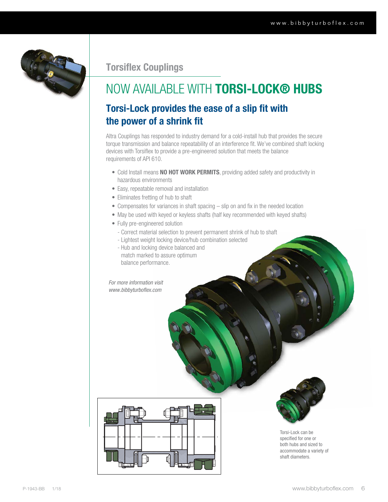

# Torsiflex Couplings

# NOW AVAILABLE WITH TORSI-LOCK® HUBS

# Torsi-Lock provides the ease of a slip fit with the power of a shrink fit

Altra Couplings has responded to industry demand for a cold-install hub that provides the secure torque transmission and balance repeatability of an interference fit. We've combined shaft locking devices with Torsiflex to provide a pre-engineered solution that meets the balance requirements of API 610.

- Cold Install means NO HOT WORK PERMITS, providing added safety and productivity in hazardous environments
- Easy, repeatable removal and installation
- Eliminates fretting of hub to shaft
- Compensates for variances in shaft spacing slip on and fix in the needed location
- May be used with keyed or keyless shafts (half key recommended with keyed shafts)
- Fully pre-engineered solution
	- Correct material selection to prevent permanent shrink of hub to shaft
	- Lightest weight locking device/hub combination selected
- **balance performance.** - Hub and locking device balanced and match marked to assure optimum

*For more information visit www.bibbyturboflex.com* 

ØH ØA



Torsi-Lock can be specified for one or both hubs and sized to accommodate a variety of shaft diameters.